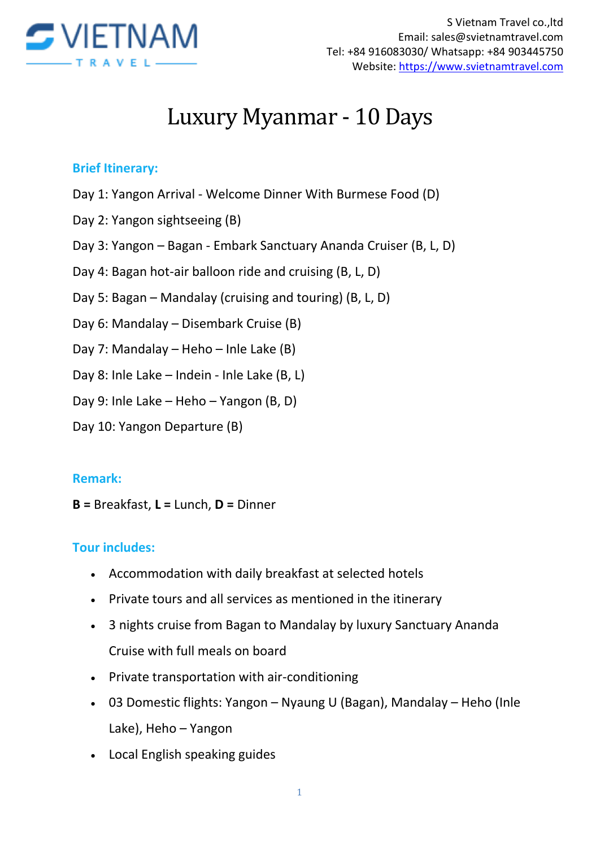

# Luxury Myanmar - 10 Days

#### **Brief Itinerary:**

- Day 1: Yangon Arrival Welcome Dinner With Burmese Food (D)
- Day 2: Yangon sightseeing (B)
- Day 3: Yangon Bagan Embark Sanctuary Ananda Cruiser (B, L, D)
- Day 4: Bagan hot-air balloon ride and cruising (B, L, D)
- Day 5: Bagan Mandalay (cruising and touring) (B, L, D)
- Day 6: Mandalay Disembark Cruise (B)
- Day 7: Mandalay Heho Inle Lake (B)
- Day 8: Inle Lake Indein Inle Lake (B, L)
- Day 9: Inle Lake Heho Yangon (B, D)
- Day 10: Yangon Departure (B)

#### **Remark:**

**B =** Breakfast, **L =** Lunch, **D =** Dinner

#### **Tour includes:**

- Accommodation with daily breakfast at selected hotels
- Private tours and all services as mentioned in the itinerary
- 3 nights cruise from Bagan to Mandalay by luxury Sanctuary Ananda Cruise with full meals on board
- Private transportation with air-conditioning
- 03 Domestic flights: Yangon Nyaung U (Bagan), Mandalay Heho (Inle Lake), Heho – Yangon
- Local English speaking guides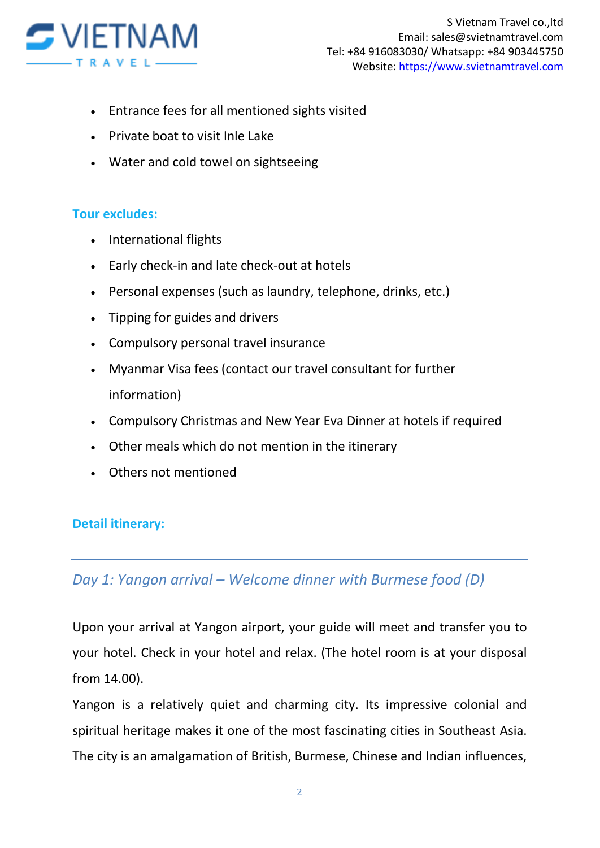

- Entrance fees for all mentioned sights visited
- Private boat to visit Inle Lake
- Water and cold towel on sightseeing

### **Tour excludes:**

- International flights
- Early check-in and late check-out at hotels
- Personal expenses (such as laundry, telephone, drinks, etc.)
- Tipping for guides and drivers
- Compulsory personal travel insurance
- Myanmar Visa fees (contact our travel consultant for further information)
- Compulsory Christmas and New Year Eva Dinner at hotels if required
- Other meals which do not mention in the itinerary
- Others not mentioned

### **Detail itinerary:**

## *Day 1: Yangon arrival – Welcome dinner with Burmese food (D)*

Upon your arrival at Yangon airport, your guide will meet and transfer you to your hotel. Check in your hotel and relax. (The hotel room is at your disposal from 14.00).

Yangon is a relatively quiet and charming city. Its impressive colonial and spiritual heritage makes it one of the most fascinating cities in Southeast Asia. The city is an amalgamation of British, Burmese, Chinese and Indian influences,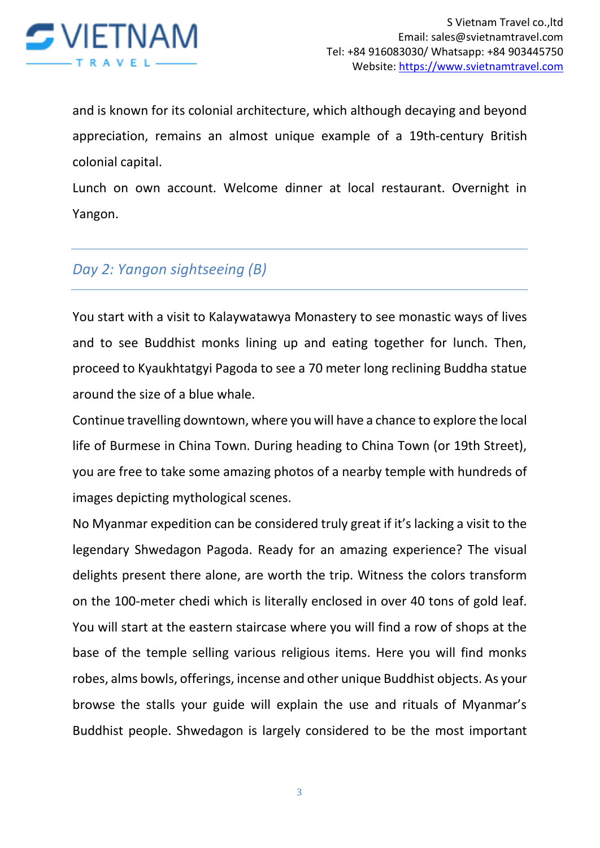

and is known for its colonial architecture, which although decaying and beyond appreciation, remains an almost unique example of a 19th-century British colonial capital.

Lunch on own account. Welcome dinner at local restaurant. Overnight in Yangon.

## *Day 2: Yangon sightseeing (B)*

You start with a visit to Kalaywatawya Monastery to see monastic ways of lives and to see Buddhist monks lining up and eating together for lunch. Then, proceed to Kyaukhtatgyi Pagoda to see a 70 meter long reclining Buddha statue around the size of a blue whale.

Continue travelling downtown, where you will have a chance to explore the local life of Burmese in China Town. During heading to China Town (or 19th Street), you are free to take some amazing photos of a nearby temple with hundreds of images depicting mythological scenes.

No Myanmar expedition can be considered truly great if it's lacking a visit to the legendary Shwedagon Pagoda. Ready for an amazing experience? The visual delights present there alone, are worth the trip. Witness the colors transform on the 100-meter chedi which is literally enclosed in over 40 tons of gold leaf. You will start at the eastern staircase where you will find a row of shops at the base of the temple selling various religious items. Here you will find monks robes, alms bowls, offerings, incense and other unique Buddhist objects. As your browse the stalls your guide will explain the use and rituals of Myanmar's Buddhist people. Shwedagon is largely considered to be the most important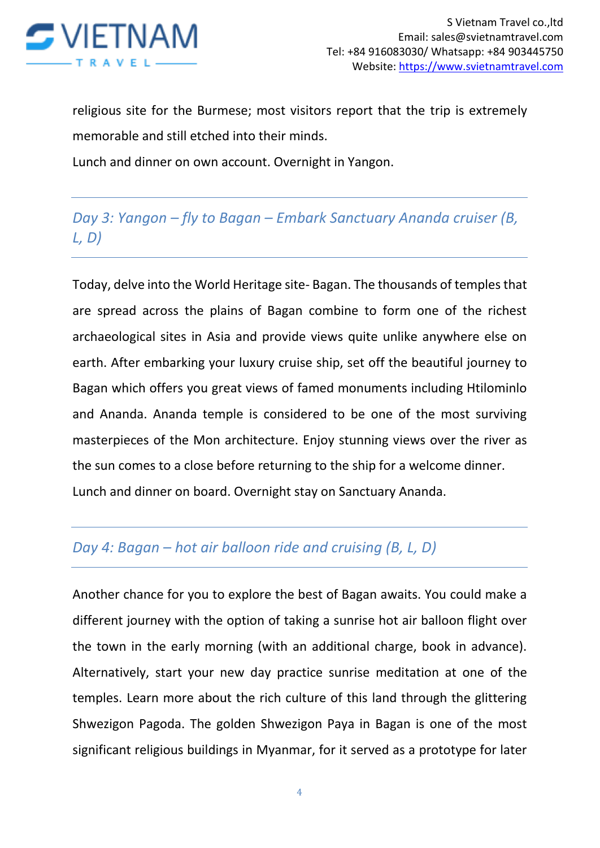

religious site for the Burmese; most visitors report that the trip is extremely memorable and still etched into their minds.

Lunch and dinner on own account. Overnight in Yangon.

# *Day 3: Yangon – fly to Bagan – Embark Sanctuary Ananda cruiser (B, L, D)*

Today, delve into the World Heritage site- Bagan. The thousands of temples that are spread across the plains of Bagan combine to form one of the richest archaeological sites in Asia and provide views quite unlike anywhere else on earth. After embarking your luxury cruise ship, set off the beautiful journey to Bagan which offers you great views of famed monuments including Htilominlo and Ananda. Ananda temple is considered to be one of the most surviving masterpieces of the Mon architecture. Enjoy stunning views over the river as the sun comes to a close before returning to the ship for a welcome dinner. Lunch and dinner on board. Overnight stay on Sanctuary Ananda.

## *Day 4: Bagan – hot air balloon ride and cruising (B, L, D)*

Another chance for you to explore the best of Bagan awaits. You could make a different journey with the option of taking a sunrise hot air balloon flight over the town in the early morning (with an additional charge, book in advance). Alternatively, start your new day practice sunrise meditation at one of the temples. Learn more about the rich culture of this land through the glittering Shwezigon Pagoda. The golden Shwezigon Paya in Bagan is one of the most significant religious buildings in Myanmar, for it served as a prototype for later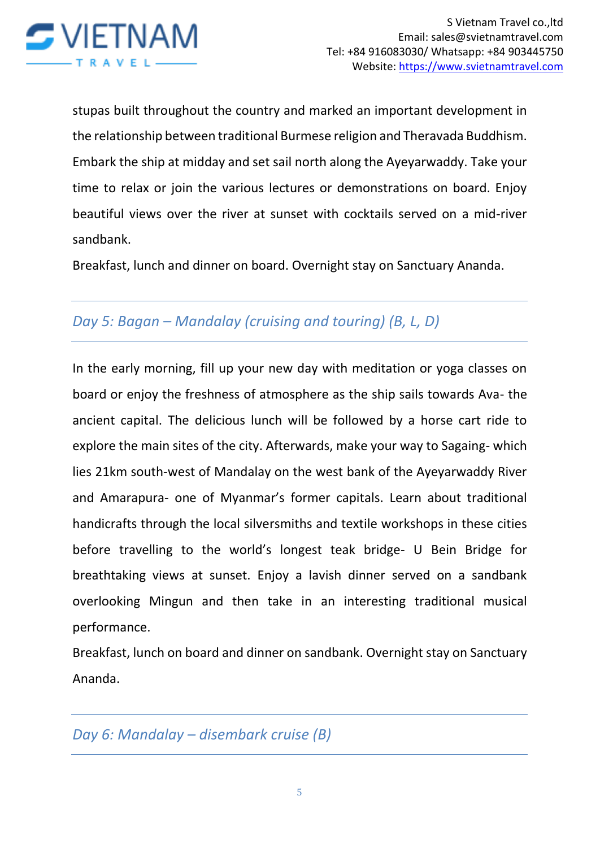

stupas built throughout the country and marked an important development in the relationship between traditional Burmese religion and Theravada Buddhism. Embark the ship at midday and set sail north along the Ayeyarwaddy. Take your time to relax or join the various lectures or demonstrations on board. Enjoy beautiful views over the river at sunset with cocktails served on a mid-river sandbank.

Breakfast, lunch and dinner on board. Overnight stay on Sanctuary Ananda.

# *Day 5: Bagan – Mandalay (cruising and touring) (B, L, D)*

In the early morning, fill up your new day with meditation or yoga classes on board or enjoy the freshness of atmosphere as the ship sails towards Ava- the ancient capital. The delicious lunch will be followed by a horse cart ride to explore the main sites of the city. Afterwards, make your way to Sagaing- which lies 21km south-west of Mandalay on the west bank of the Ayeyarwaddy River and Amarapura- one of Myanmar's former capitals. Learn about traditional handicrafts through the local silversmiths and textile workshops in these cities before travelling to the world's longest teak bridge- U Bein Bridge for breathtaking views at sunset. Enjoy a lavish dinner served on a sandbank overlooking Mingun and then take in an interesting traditional musical performance.

Breakfast, lunch on board and dinner on sandbank. Overnight stay on Sanctuary Ananda.

*Day 6: Mandalay – disembark cruise (B)*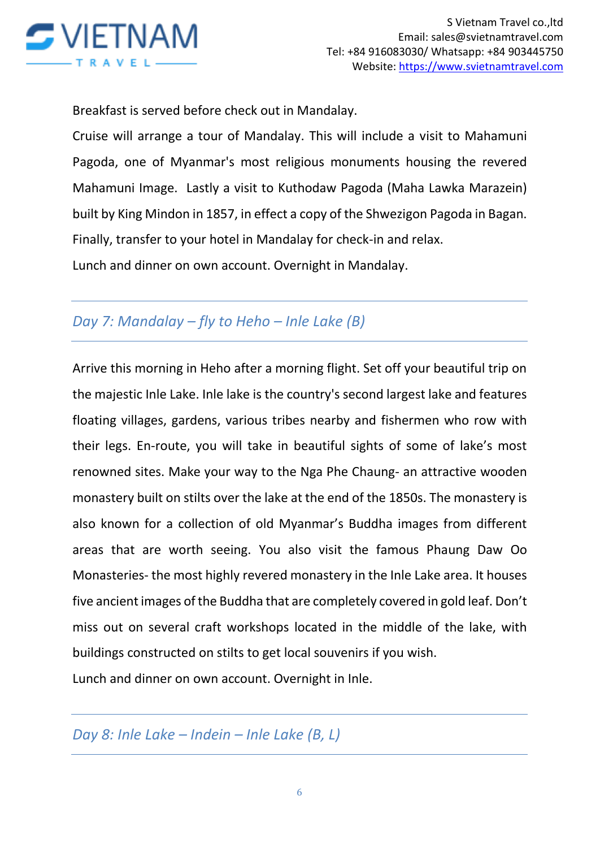

Breakfast is served before check out in Mandalay.

Cruise will arrange a tour of Mandalay. This will include a visit to Mahamuni Pagoda, one of Myanmar's most religious monuments housing the revered Mahamuni Image. Lastly a visit to Kuthodaw Pagoda (Maha Lawka Marazein) built by King Mindon in 1857, in effect a copy of the Shwezigon Pagoda in Bagan. Finally, transfer to your hotel in Mandalay for check-in and relax. Lunch and dinner on own account. Overnight in Mandalay.

# *Day 7: Mandalay – fly to Heho – Inle Lake (B)*

Arrive this morning in Heho after a morning flight. Set off your beautiful trip on the majestic Inle Lake. Inle lake is the country's second largest lake and features floating villages, gardens, various tribes nearby and fishermen who row with their legs. En-route, you will take in beautiful sights of some of lake's most renowned sites. Make your way to the Nga Phe Chaung- an attractive wooden monastery built on stilts over the lake at the end of the 1850s. The monastery is also known for a collection of old Myanmar's Buddha images from different areas that are worth seeing. You also visit the famous Phaung Daw Oo Monasteries- the most highly revered monastery in the Inle Lake area. It houses five ancient images of the Buddha that are completely covered in gold leaf. Don't miss out on several craft workshops located in the middle of the lake, with buildings constructed on stilts to get local souvenirs if you wish.

Lunch and dinner on own account. Overnight in Inle.

*Day 8: Inle Lake – Indein – Inle Lake (B, L)*